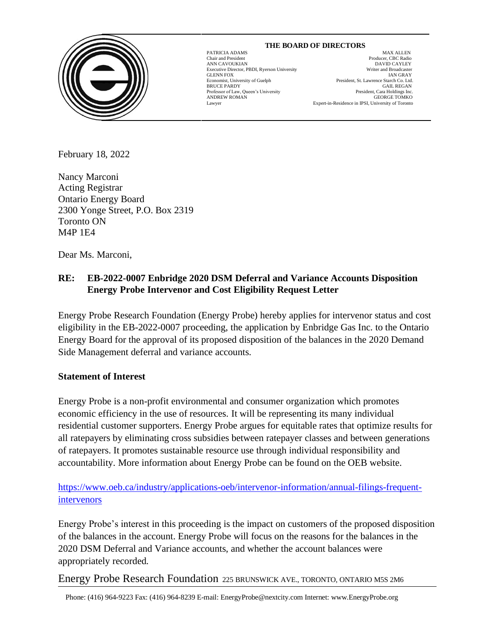

# GLENN FOX

 $\overline{\phantom{a}}$ 

PATRICIA ADAMS MAX ALLEN Chair and President Producer, CBC Radio ANN CAVOUKIAN<br>
Executive Director. PBDI. Ryerson University<br>
Executive Director. PBDI. Ryerson University<br>
Uniter and Broadcaster Executive Director, PBDI, Ryerson University Writer and Broadcaster Economist, University of Guelph President, St. Lawrence Starch Co. Ltd. BRUCE PARDY GAIL REGAN GALA Professor of Law, Queen's University **State Controllering State Professor** of Law, Queen's University **State Professor** of Law, Queen's University **State Professor** of Law, Queen's University **S** Professor of Law, Queen's University<br>
President, Cara Holdings Inc.<br>
CEORGE TOMKO ANDREW ROMAN GEORGE TOMKO Lawyer Expert-in-Residence in IPSI, University of Toronto

 **THE BOARD OF DIRECTORS**

February 18, 2022

Nancy Marconi Acting Registrar Ontario Energy Board 2300 Yonge Street, P.O. Box 2319 Toronto ON M4P 1E4

Dear Ms. Marconi,

# **RE: EB-2022-0007 Enbridge 2020 DSM Deferral and Variance Accounts Disposition Energy Probe Intervenor and Cost Eligibility Request Letter**

Energy Probe Research Foundation (Energy Probe) hereby applies for intervenor status and cost eligibility in the EB-2022-0007 proceeding, the application by Enbridge Gas Inc. to the Ontario Energy Board for the approval of its proposed disposition of the balances in the 2020 Demand Side Management deferral and variance accounts.

# **Statement of Interest**

Energy Probe is a non-profit environmental and consumer organization which promotes economic efficiency in the use of resources. It will be representing its many individual residential customer supporters. Energy Probe argues for equitable rates that optimize results for all ratepayers by eliminating cross subsidies between ratepayer classes and between generations of ratepayers. It promotes sustainable resource use through individual responsibility and accountability. More information about Energy Probe can be found on the OEB website.

[https://www.oeb.ca/industry/applications-oeb/intervenor-information/annual-filings-frequent](https://www.oeb.ca/industry/applications-oeb/intervenor-information/annual-filings-frequent-intervenors)[intervenors](https://www.oeb.ca/industry/applications-oeb/intervenor-information/annual-filings-frequent-intervenors)

Energy Probe's interest in this proceeding is the impact on customers of the proposed disposition of the balances in the account. Energy Probe will focus on the reasons for the balances in the 2020 DSM Deferral and Variance accounts, and whether the account balances were appropriately recorded.

Energy Probe Research Foundation 225 BRUNSWICK AVE., TORONTO, ONTARIO M5S 2M6